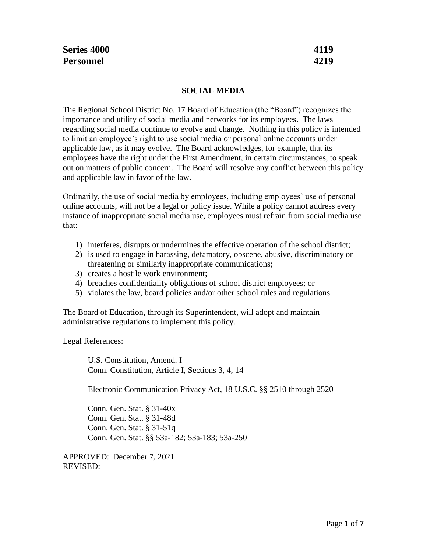# **SOCIAL MEDIA**

The Regional School District No. 17 Board of Education (the "Board") recognizes the importance and utility of social media and networks for its employees. The laws regarding social media continue to evolve and change. Nothing in this policy is intended to limit an employee's right to use social media or personal online accounts under applicable law, as it may evolve. The Board acknowledges, for example, that its employees have the right under the First Amendment, in certain circumstances, to speak out on matters of public concern. The Board will resolve any conflict between this policy and applicable law in favor of the law.

Ordinarily, the use of social media by employees, including employees' use of personal online accounts, will not be a legal or policy issue. While a policy cannot address every instance of inappropriate social media use, employees must refrain from social media use that:

- 1) interferes, disrupts or undermines the effective operation of the school district;
- 2) is used to engage in harassing, defamatory, obscene, abusive, discriminatory or threatening or similarly inappropriate communications;
- 3) creates a hostile work environment;
- 4) breaches confidentiality obligations of school district employees; or
- 5) violates the law, board policies and/or other school rules and regulations.

The Board of Education, through its Superintendent, will adopt and maintain administrative regulations to implement this policy.

Legal References:

U.S. Constitution, Amend. I Conn. Constitution, Article I, Sections 3, 4, 14

Electronic Communication Privacy Act, 18 U.S.C. §§ 2510 through 2520

Conn. Gen. Stat. § 31-40x Conn. Gen. Stat. § 31-48d Conn. Gen. Stat. § 31-51q Conn. Gen. Stat. §§ 53a-182; 53a-183; 53a-250

APPROVED: December 7, 2021 REVISED: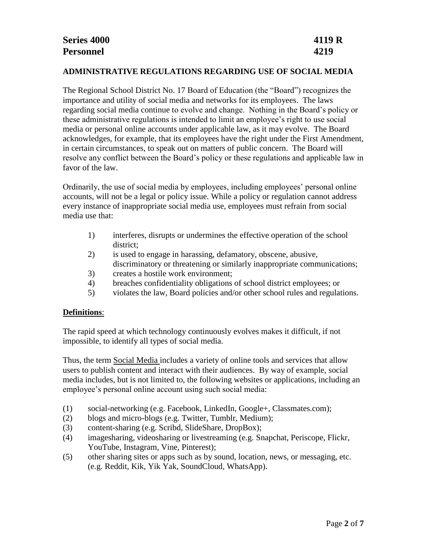#### **ADMINISTRATIVE REGULATIONS REGARDING USE OF SOCIAL MEDIA**

The Regional School District No. 17 Board of Education (the "Board") recognizes the importance and utility of social media and networks for its employees. The laws regarding social media continue to evolve and change. Nothing in the Board's policy or these administrative regulations is intended to limit an employee's right to use social media or personal online accounts under applicable law, as it may evolve. The Board acknowledges, for example, that its employees have the right under the First Amendment, in certain circumstances, to speak out on matters of public concern. The Board will resolve any conflict between the Board's policy or these regulations and applicable law in favor of the law.

Ordinarily, the use of social media by employees, including employees' personal online accounts, will not be a legal or policy issue. While a policy or regulation cannot address every instance of inappropriate social media use, employees must refrain from social media use that:

- 1) interferes, disrupts or undermines the effective operation of the school district;
- 2) is used to engage in harassing, defamatory, obscene, abusive, discriminatory or threatening or similarly inappropriate communications;
- 3) creates a hostile work environment;
- 4) breaches confidentiality obligations of school district employees; or
- 5) violates the law, Board policies and/or other school rules and regulations.

### **Definitions**:

The rapid speed at which technology continuously evolves makes it difficult, if not impossible, to identify all types of social media.

Thus, the term Social Media includes a variety of online tools and services that allow users to publish content and interact with their audiences. By way of example, social media includes, but is not limited to, the following websites or applications, including an employee's personal online account using such social media:

- (1) social-networking (e.g. Facebook, LinkedIn, Google+, Classmates.com);
- (2) blogs and micro-blogs (e.g. Twitter, Tumblr, Medium);
- (3) content-sharing (e.g. Scribd, SlideShare, DropBox);
- (4) imagesharing, videosharing or livestreaming (e.g. Snapchat, Periscope, Flickr, YouTube, Instagram, Vine, Pinterest);
- (5) other sharing sites or apps such as by sound, location, news, or messaging, etc. (e.g. Reddit, Kik, Yik Yak, SoundCloud, WhatsApp).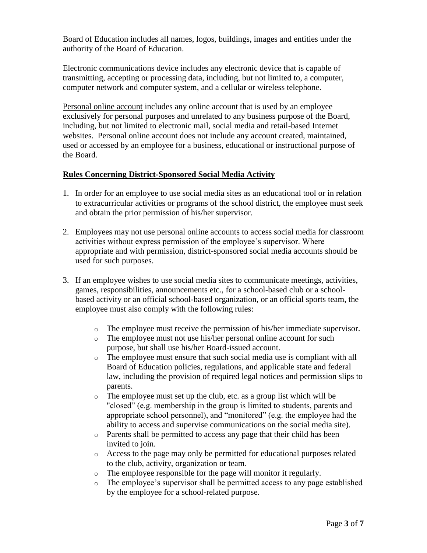Board of Education includes all names, logos, buildings, images and entities under the authority of the Board of Education.

Electronic communications device includes any electronic device that is capable of transmitting, accepting or processing data, including, but not limited to, a computer, computer network and computer system, and a cellular or wireless telephone.

Personal online account includes any online account that is used by an employee exclusively for personal purposes and unrelated to any business purpose of the Board, including, but not limited to electronic mail, social media and retail-based Internet websites. Personal online account does not include any account created, maintained, used or accessed by an employee for a business, educational or instructional purpose of the Board.

### **Rules Concerning District-Sponsored Social Media Activity**

- 1. In order for an employee to use social media sites as an educational tool or in relation to extracurricular activities or programs of the school district, the employee must seek and obtain the prior permission of his/her supervisor.
- 2. Employees may not use personal online accounts to access social media for classroom activities without express permission of the employee's supervisor. Where appropriate and with permission, district-sponsored social media accounts should be used for such purposes.
- 3. If an employee wishes to use social media sites to communicate meetings, activities, games, responsibilities, announcements etc., for a school-based club or a schoolbased activity or an official school-based organization, or an official sports team, the employee must also comply with the following rules:
	- o The employee must receive the permission of his/her immediate supervisor.
	- o The employee must not use his/her personal online account for such purpose, but shall use his/her Board-issued account.
	- o The employee must ensure that such social media use is compliant with all Board of Education policies, regulations, and applicable state and federal law, including the provision of required legal notices and permission slips to parents.
	- o The employee must set up the club, etc. as a group list which will be "closed" (e.g. membership in the group is limited to students, parents and appropriate school personnel), and "monitored" (e.g. the employee had the ability to access and supervise communications on the social media site).
	- o Parents shall be permitted to access any page that their child has been invited to join.
	- o Access to the page may only be permitted for educational purposes related to the club, activity, organization or team.
	- o The employee responsible for the page will monitor it regularly.
	- o The employee's supervisor shall be permitted access to any page established by the employee for a school-related purpose.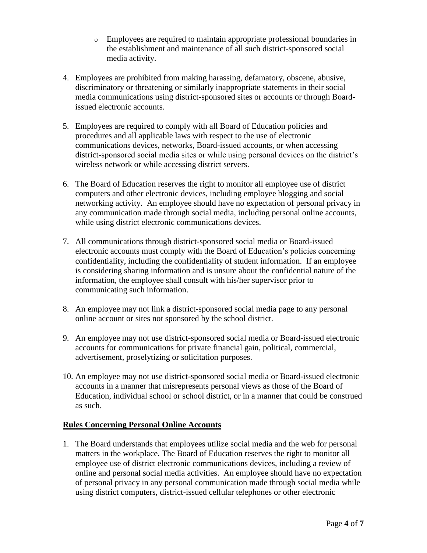- o Employees are required to maintain appropriate professional boundaries in the establishment and maintenance of all such district-sponsored social media activity.
- 4. Employees are prohibited from making harassing, defamatory, obscene, abusive, discriminatory or threatening or similarly inappropriate statements in their social media communications using district-sponsored sites or accounts or through Boardissued electronic accounts.
- 5. Employees are required to comply with all Board of Education policies and procedures and all applicable laws with respect to the use of electronic communications devices, networks, Board-issued accounts, or when accessing district-sponsored social media sites or while using personal devices on the district's wireless network or while accessing district servers.
- 6. The Board of Education reserves the right to monitor all employee use of district computers and other electronic devices, including employee blogging and social networking activity. An employee should have no expectation of personal privacy in any communication made through social media, including personal online accounts, while using district electronic communications devices.
- 7. All communications through district-sponsored social media or Board-issued electronic accounts must comply with the Board of Education's policies concerning confidentiality, including the confidentiality of student information. If an employee is considering sharing information and is unsure about the confidential nature of the information, the employee shall consult with his/her supervisor prior to communicating such information.
- 8. An employee may not link a district-sponsored social media page to any personal online account or sites not sponsored by the school district.
- 9. An employee may not use district-sponsored social media or Board-issued electronic accounts for communications for private financial gain, political, commercial, advertisement, proselytizing or solicitation purposes.
- 10. An employee may not use district-sponsored social media or Board-issued electronic accounts in a manner that misrepresents personal views as those of the Board of Education, individual school or school district, or in a manner that could be construed as such.

## **Rules Concerning Personal Online Accounts**

1. The Board understands that employees utilize social media and the web for personal matters in the workplace. The Board of Education reserves the right to monitor all employee use of district electronic communications devices, including a review of online and personal social media activities. An employee should have no expectation of personal privacy in any personal communication made through social media while using district computers, district-issued cellular telephones or other electronic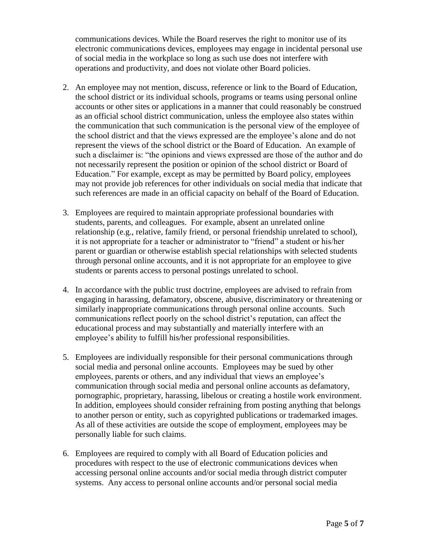communications devices. While the Board reserves the right to monitor use of its electronic communications devices, employees may engage in incidental personal use of social media in the workplace so long as such use does not interfere with operations and productivity, and does not violate other Board policies.

- 2. An employee may not mention, discuss, reference or link to the Board of Education, the school district or its individual schools, programs or teams using personal online accounts or other sites or applications in a manner that could reasonably be construed as an official school district communication, unless the employee also states within the communication that such communication is the personal view of the employee of the school district and that the views expressed are the employee's alone and do not represent the views of the school district or the Board of Education. An example of such a disclaimer is: "the opinions and views expressed are those of the author and do not necessarily represent the position or opinion of the school district or Board of Education." For example, except as may be permitted by Board policy, employees may not provide job references for other individuals on social media that indicate that such references are made in an official capacity on behalf of the Board of Education.
- 3. Employees are required to maintain appropriate professional boundaries with students, parents, and colleagues. For example, absent an unrelated online relationship (e.g., relative, family friend, or personal friendship unrelated to school), it is not appropriate for a teacher or administrator to "friend" a student or his/her parent or guardian or otherwise establish special relationships with selected students through personal online accounts, and it is not appropriate for an employee to give students or parents access to personal postings unrelated to school.
- 4. In accordance with the public trust doctrine, employees are advised to refrain from engaging in harassing, defamatory, obscene, abusive, discriminatory or threatening or similarly inappropriate communications through personal online accounts. Such communications reflect poorly on the school district's reputation, can affect the educational process and may substantially and materially interfere with an employee's ability to fulfill his/her professional responsibilities.
- 5. Employees are individually responsible for their personal communications through social media and personal online accounts. Employees may be sued by other employees, parents or others, and any individual that views an employee's communication through social media and personal online accounts as defamatory, pornographic, proprietary, harassing, libelous or creating a hostile work environment. In addition, employees should consider refraining from posting anything that belongs to another person or entity, such as copyrighted publications or trademarked images. As all of these activities are outside the scope of employment, employees may be personally liable for such claims.
- 6. Employees are required to comply with all Board of Education policies and procedures with respect to the use of electronic communications devices when accessing personal online accounts and/or social media through district computer systems. Any access to personal online accounts and/or personal social media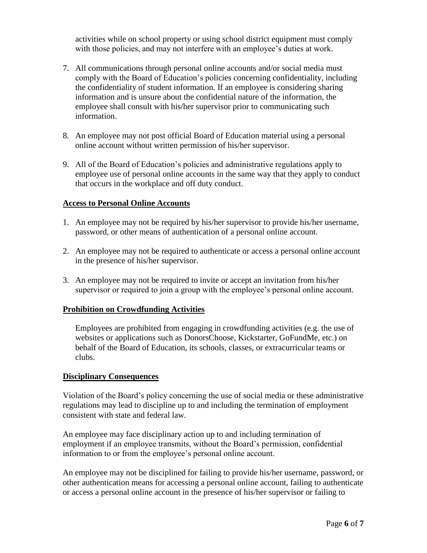activities while on school property or using school district equipment must comply with those policies, and may not interfere with an employee's duties at work.

- 7. All communications through personal online accounts and/or social media must comply with the Board of Education's policies concerning confidentiality, including the confidentiality of student information. If an employee is considering sharing information and is unsure about the confidential nature of the information, the employee shall consult with his/her supervisor prior to communicating such information.
- 8. An employee may not post official Board of Education material using a personal online account without written permission of his/her supervisor.
- 9. All of the Board of Education's policies and administrative regulations apply to employee use of personal online accounts in the same way that they apply to conduct that occurs in the workplace and off duty conduct.

### **Access to Personal Online Accounts**

- 1. An employee may not be required by his/her supervisor to provide his/her username, password, or other means of authentication of a personal online account.
- 2. An employee may not be required to authenticate or access a personal online account in the presence of his/her supervisor.
- 3. An employee may not be required to invite or accept an invitation from his/her supervisor or required to join a group with the employee's personal online account.

### **Prohibition on Crowdfunding Activities**

Employees are prohibited from engaging in crowdfunding activities (e.g. the use of websites or applications such as DonorsChoose, Kickstarter, GoFundMe, etc.) on behalf of the Board of Education, its schools, classes, or extracurricular teams or clubs.

### **Disciplinary Consequences**

Violation of the Board's policy concerning the use of social media or these administrative regulations may lead to discipline up to and including the termination of employment consistent with state and federal law.

An employee may face disciplinary action up to and including termination of employment if an employee transmits, without the Board's permission, confidential information to or from the employee's personal online account.

An employee may not be disciplined for failing to provide his/her username, password, or other authentication means for accessing a personal online account, failing to authenticate or access a personal online account in the presence of his/her supervisor or failing to